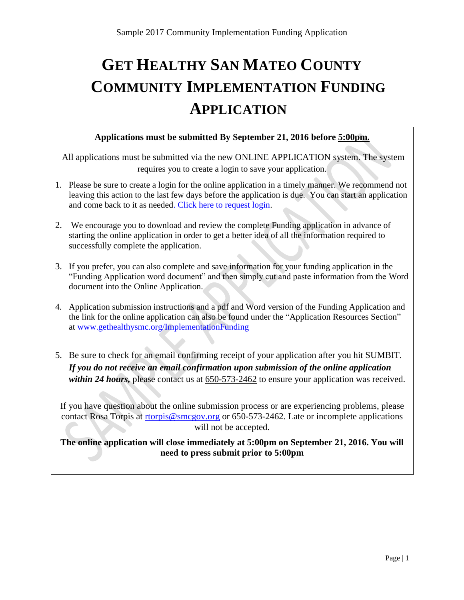# **GET HEALTHY SAN MATEO COUNTY COMMUNITY IMPLEMENTATION FUNDING APPLICATION**

### **Applications must be submitted By September 21, 2016 before 5:00pm.**

All applications must be submitted via the new ONLINE APPLICATION system. The system requires you to create a login to save your application.

- 1. Please be sure to create a login for the online application in a timely manner. We recommend not leaving this action to the last few days before the application is due. You can start an application and come back to it as needed. [Click here to request login.](http://www.gethealthysmc.org/post/create-account-apply)
- 2. We encourage you to download and review the complete Funding application in advance of starting the online application in order to get a better idea of all the information required to successfully complete the application.
- 3. If you prefer, you can also complete and save information for your funding application in the "Funding Application word document" and then simply cut and paste information from the Word document into the Online Application.
- 4. Application submission instructions and a pdf and Word version of the Funding Application and the link for the online application can also be found under the "Application Resources Section" at [www.gethealthysmc.org/ImplementationFunding](http://www.gethealthysmc.org/ImplementationFunding)
- 5. Be sure to check for an email confirming receipt of your application after you hit SUMBIT. *If you do not receive an email confirmation upon submission of the online application within 24 hours, please contact us at 650-573-2462 to ensure your application was received.*

If you have question about the online submission process or are experiencing problems, please contact Rosa Torpis at [rtorpis@smcgov.org](mailto:rtorpis@smcgov.org) or 650-573-2462. Late or incomplete applications will not be accepted.

### **The online application will close immediately at 5:00pm on September 21, 2016. You will need to press submit prior to 5:00pm**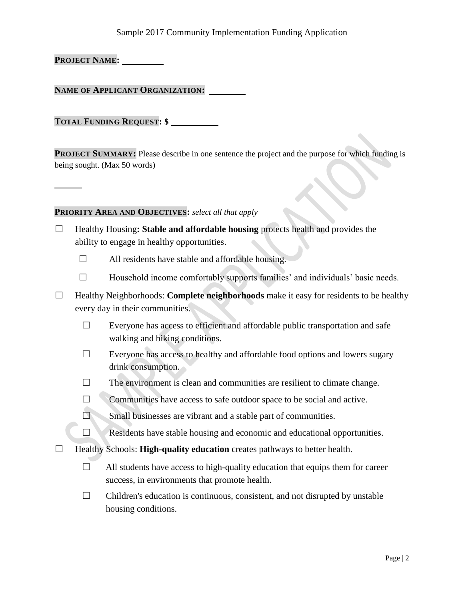### Sample 2017 Community Implementation Funding Application

**PROJECT NAME:**

**NAME OF APPLICANT ORGANIZATION:** 

**TOTAL FUNDING REQUEST: \$** 

**PROJECT SUMMARY:** Please describe in one sentence the project and the purpose for which funding is being sought. (Max 50 words)

#### **PRIORITY AREA AND OBJECTIVES:** *select all that apply*

- ☐ Healthy Housing**: Stable and affordable housing** protects health and provides the ability to engage in healthy opportunities.
	- $\Box$  All residents have stable and affordable housing.
	- $\Box$  Household income comfortably supports families' and individuals' basic needs.
- ☐ Healthy Neighborhoods: **Complete neighborhoods** make it easy for residents to be healthy every day in their communities.
	- $\Box$  Everyone has access to efficient and affordable public transportation and safe walking and biking conditions.
	- $\Box$  Everyone has access to healthy and affordable food options and lowers sugary drink consumption.
	- $\Box$  The environment is clean and communities are resilient to climate change.
	- □ Communities have access to safe outdoor space to be social and active.
	- ☐ Small businesses are vibrant and a stable part of communities.
	- $\Box$  Residents have stable housing and economic and educational opportunities.
- ☐ Healthy Schools: **High-quality education** creates pathways to better health.
	- $\Box$  All students have access to high-quality education that equips them for career success, in environments that promote health.
	- $\Box$  Children's education is continuous, consistent, and not disrupted by unstable housing conditions.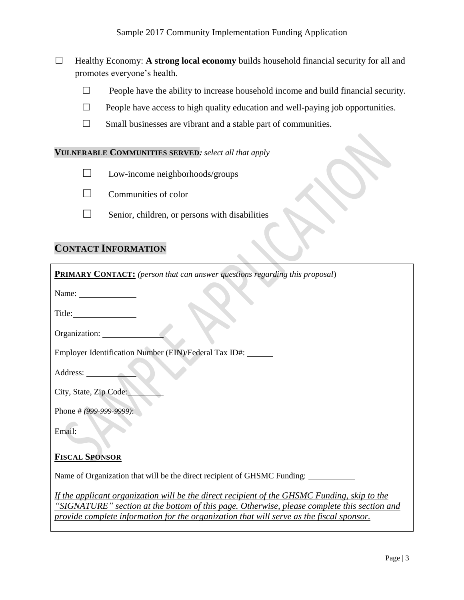- ☐ Healthy Economy: **A strong local economy** builds household financial security for all and promotes everyone's health.
	- ☐ People have the ability to increase household income and build financial security.
	- $\Box$  People have access to high quality education and well-paying job opportunities.
	- ☐ Small businesses are vibrant and a stable part of communities.

#### **VULNERABLE COMMUNITIES SERVED***: select all that apply*

- $\Box$  Low-income neighborhoods/groups
- $\Box$  Communities of color
- $\Box$  Senior, children, or persons with disabilities

# **CONTACT INFORMATION**

| <b>PRIMARY CONTACT:</b> (person that can answer questions regarding this proposal)                                                                                                                                                                                                      |
|-----------------------------------------------------------------------------------------------------------------------------------------------------------------------------------------------------------------------------------------------------------------------------------------|
| Name: $\frac{1}{\sqrt{1-\frac{1}{2}}\left(1-\frac{1}{2}\right)}$                                                                                                                                                                                                                        |
| Title: Title:                                                                                                                                                                                                                                                                           |
| Organization:                                                                                                                                                                                                                                                                           |
| Employer Identification Number (EIN)/Federal Tax ID#:                                                                                                                                                                                                                                   |
| Address:                                                                                                                                                                                                                                                                                |
| City, State, Zip Code:                                                                                                                                                                                                                                                                  |
| Phone # (999-999-9999):                                                                                                                                                                                                                                                                 |
| Email:                                                                                                                                                                                                                                                                                  |
| <b>FISCAL SPONSOR</b>                                                                                                                                                                                                                                                                   |
| Name of Organization that will be the direct recipient of GHSMC Funding:                                                                                                                                                                                                                |
| If the applicant organization will be the direct recipient of the GHSMC Funding, skip to the<br>"SIGNATURE" section at the bottom of this page. Otherwise, please complete this section and<br>provide complete information for the organization that will serve as the fiscal sponsor. |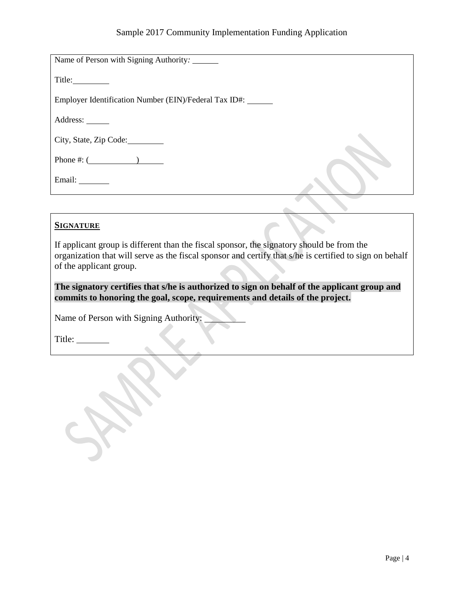| Name of Person with Signing Authority: ______         |  |
|-------------------------------------------------------|--|
| Title:                                                |  |
| Employer Identification Number (EIN)/Federal Tax ID#: |  |
| Address:                                              |  |
| City, State, Zip Code:                                |  |
| Phone #: $($                                          |  |
| Email:                                                |  |

### **SIGNATURE**

If applicant group is different than the fiscal sponsor, the signatory should be from the organization that will serve as the fiscal sponsor and certify that s/he is certified to sign on behalf of the applicant group.

**The signatory certifies that s/he is authorized to sign on behalf of the applicant group and commits to honoring the goal, scope, requirements and details of the project.**

Name of Person with Signing Authority:

Title: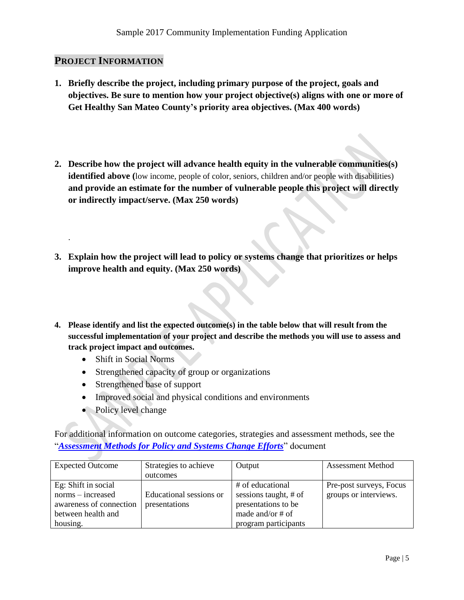### **PROJECT INFORMATION**

.

- **1. Briefly describe the project, including primary purpose of the project, goals and objectives. Be sure to mention how your project objective(s) aligns with one or more of Get Healthy San Mateo County's priority area objectives. (Max 400 words)**
- **2. Describe how the project will advance health equity in the vulnerable communities(s) identified above** (low income, people of color, seniors, children and/or people with disabilities) **and provide an estimate for the number of vulnerable people this project will directly or indirectly impact/serve. (Max 250 words)**
- **3. Explain how the project will lead to policy or systems change that prioritizes or helps improve health and equity. (Max 250 words)**
- **4. Please identify and list the expected outcome(s) in the table below that will result from the successful implementation of your project and describe the methods you will use to assess and track project impact and outcomes.** 
	- Shift in Social Norms
	- Strengthened capacity of group or organizations
	- Strengthened base of support
	- Improved social and physical conditions and environments
	- Policy level change

For additional information on outcome categories, strategies and assessment methods, see the "*[Assessment Methods for Policy and Systems Change Efforts](http://www.gethealthysmc.org/sites/main/files/file-attachments/assessment_methods.pdf)*" document

| <b>Expected Outcome</b> | Strategies to achieve   | Output                | <b>Assessment Method</b> |
|-------------------------|-------------------------|-----------------------|--------------------------|
|                         | outcomes                |                       |                          |
| Eg: Shift in social     |                         | # of educational      | Pre-post surveys, Focus  |
| norms – increased       | Educational sessions or | sessions taught, # of | groups or interviews.    |
| awareness of connection | presentations           | presentations to be   |                          |
| between health and      |                         | made and/or $#$ of    |                          |
| housing.                |                         | program participants  |                          |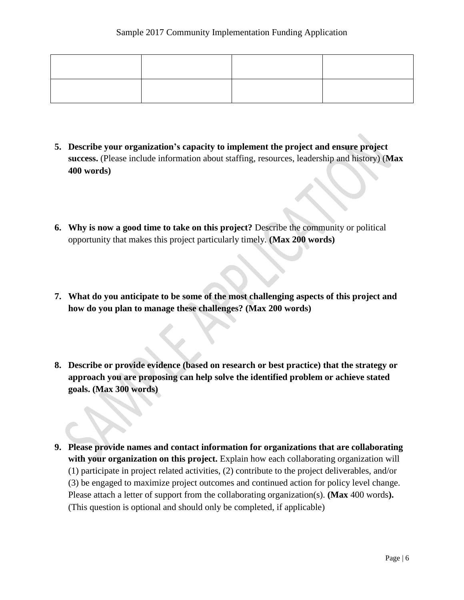- **5. Describe your organization's capacity to implement the project and ensure project success.** (Please include information about staffing, resources, leadership and history) (**Max 400 words)**
- **6. Why is now a good time to take on this project?** Describe the community or political opportunity that makes this project particularly timely. **(Max 200 words)**
- **7. What do you anticipate to be some of the most challenging aspects of this project and how do you plan to manage these challenges? (Max 200 words)**
- **8. Describe or provide evidence (based on research or best practice) that the strategy or approach you are proposing can help solve the identified problem or achieve stated goals. (Max 300 words)**
- **9. Please provide names and contact information for organizations that are collaborating with your organization on this project.** Explain how each collaborating organization will (1) participate in project related activities, (2) contribute to the project deliverables, and/or (3) be engaged to maximize project outcomes and continued action for policy level change. Please attach a letter of support from the collaborating organization(s). **(Max** 400 words**).**  (This question is optional and should only be completed, if applicable)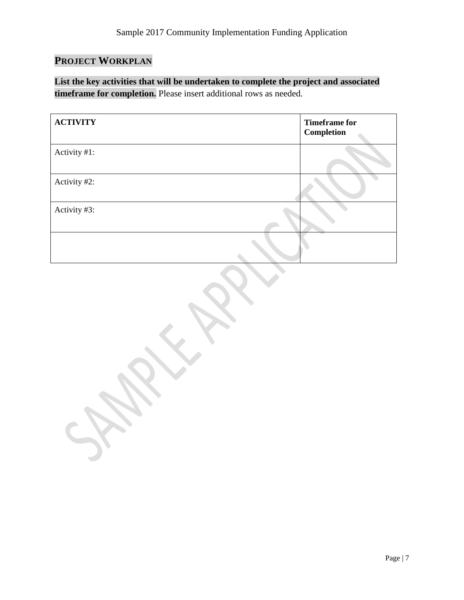# **PROJECT WORKPLAN**

 $\mathcal{L}_{\mathcal{D}}$ 

**List the key activities that will be undertaken to complete the project and associated timeframe for completion.** Please insert additional rows as needed.

| <b>ACTIVITY</b> | <b>Timeframe for</b><br><b>Completion</b> |
|-----------------|-------------------------------------------|
| Activity #1:    |                                           |
| Activity #2:    |                                           |
| Activity #3:    |                                           |
|                 |                                           |